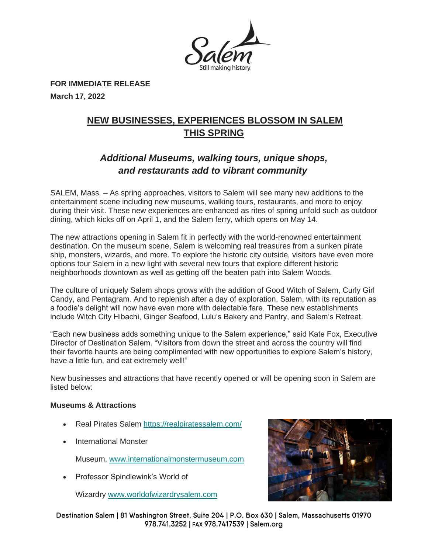

**FOR IMMEDIATE RELEASE March 17, 2022**

# **NEW BUSINESSES, EXPERIENCES BLOSSOM IN SALEM THIS SPRING**

# *Additional Museums, walking tours, unique shops, and restaurants add to vibrant community*

SALEM, Mass. – As spring approaches, visitors to Salem will see many new additions to the entertainment scene including new museums, walking tours, restaurants, and more to enjoy during their visit. These new experiences are enhanced as rites of spring unfold such as outdoor dining, which kicks off on April 1, and the Salem ferry, which opens on May 14.

The new attractions opening in Salem fit in perfectly with the world-renowned entertainment destination. On the museum scene, Salem is welcoming real treasures from a sunken pirate ship, monsters, wizards, and more. To explore the historic city outside, visitors have even more options tour Salem in a new light with several new tours that explore different historic neighborhoods downtown as well as getting off the beaten path into Salem Woods.

The culture of uniquely Salem shops grows with the addition of Good Witch of Salem, Curly Girl Candy, and Pentagram. And to replenish after a day of exploration, Salem, with its reputation as a foodie's delight will now have even more with delectable fare. These new establishments include Witch City Hibachi, Ginger Seafood, Lulu's Bakery and Pantry, and Salem's Retreat.

"Each new business adds something unique to the Salem experience," said Kate Fox, Executive Director of Destination Salem. "Visitors from down the street and across the country will find their favorite haunts are being complimented with new opportunities to explore Salem's history, have a little fun, and eat extremely well!"

New businesses and attractions that have recently opened or will be opening soon in Salem are listed below:

# **Museums & Attractions**

- Real Pirates Salem <https://realpiratessalem.com/>
- International Monster
	- Museum, [www.internationalmonstermuseum.com](http://www.internationalmonstermuseum.com/)
- Professor Spindlewink's World of

Wizardry [www.worldofwizardrysalem.com](http://www.worldofwizardrysalem.com/)



Destination Salem | 81 Washington Street, Suite 204 | P.O. Box 630 | Salem, Massachusetts 01970 978.741.3252 | FAX 978.7417539 | Salem.org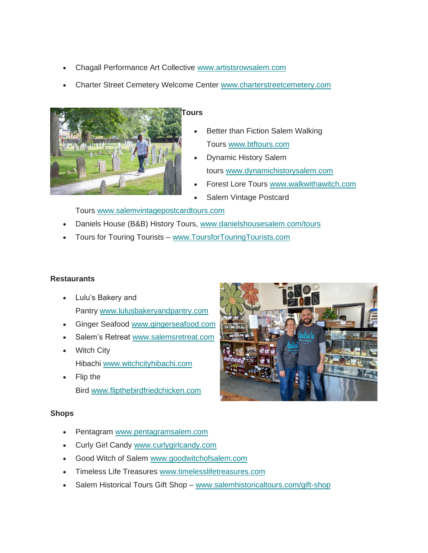- Chagall Performance Art Collective [www.artistsrowsalem.com](http://www.artistsrowsalem.com/)
- Charter Street Cemetery Welcome Center [www.charterstreetcemetery.com](http://www.charterstreetcemetery.com/)



- Better than Fiction Salem Walking Tours [www.btftours.com](http://www.btftours.com/)
- Dynamic History Salem tours [www.dynamichistorysalem.com](http://www.dynamichistorysalem.com/)
- Forest Lore Tours [www.walkwithawitch.com](http://www.walkwithawitch.com/)
- Salem Vintage Postcard

Tours [www.salemvintagepostcardtours.com](http://www.salemvintagepostcardtours.com/)

- Daniels House (B&B) History Tours, [www.danielshousesalem.com/tours](http://www.danielshousesalem.com/tours)
- Tours for Touring Tourists [www.ToursforTouringTourists.com](http://www.toursfortouringtourists.com/)

# **Restaurants**

- Lulu's Bakery and Pantry [www.lulusbakeryandpantry.com](http://www.lulusbakeryandpantry.com/)
- Ginger Seafood [www.gingerseafood.com](http://www.gingerseafood.com/)
- Salem's Retreat [www.salemsretreat.com](http://www.salemsretreat.com/)
- Witch City Hibachi [www.witchcityhibachi.com](http://www.witchcityhibachi.com/)
- Flip the Bird [www.flipthebirdfriedchicken.com](http://www.flipthebirdfriedchicken.com/)

# **Shops**

- Pentagram [www.pentagramsalem.com](http://www.pentagramsalem.com/)
- Curly Girl Candy [www.curlygirlcandy.com](http://www.curlygirlcandy.com/)
- Good Witch of Salem [www.goodwitchofsalem.com](http://www.goodwitchofsalem.com/)
- Timeless Life Treasures [www.timelesslifetreasures.com](http://www.timelesslifetreasures.com/)
- Salem Historical Tours Gift Shop [www.salemhistoricaltours.com/gift-shop](http://www.salemhistoricaltours.com/gift-shop)